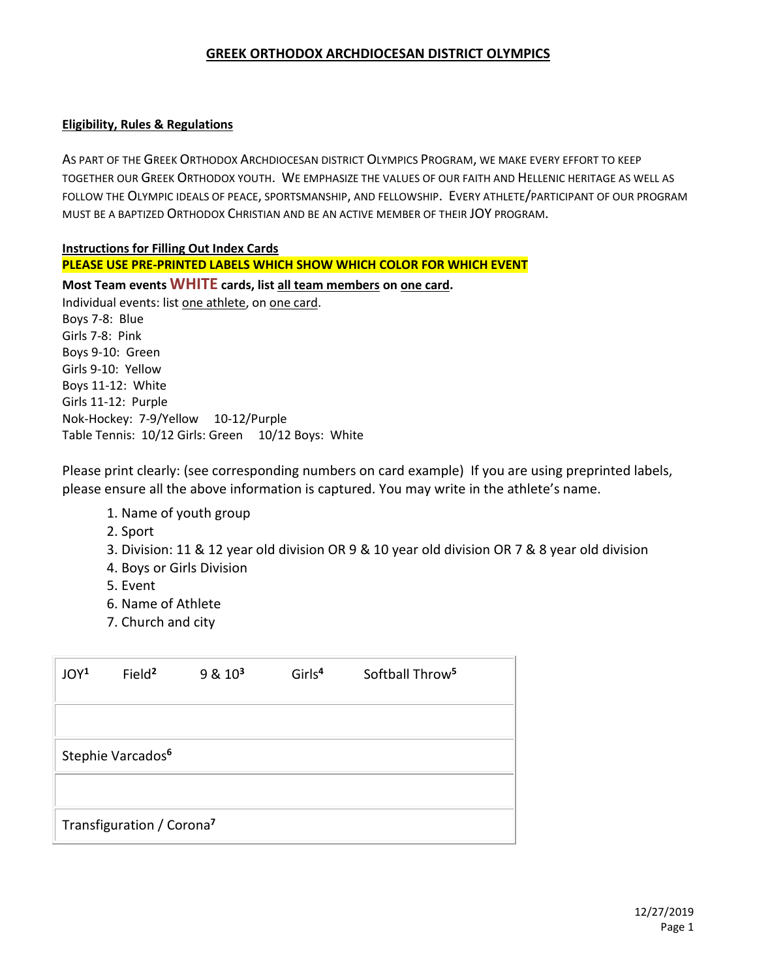#### **GREEK ORTHODOX ARCHDIOCESAN DISTRICT OLYMPICS**

#### **Eligibility, Rules & Regulations**

AS PART OF THE GREEK ORTHODOX ARCHDIOCESAN DISTRICT OLYMPICS PROGRAM, WE MAKE EVERY EFFORT TO KEEP TOGETHER OUR GREEK ORTHODOX YOUTH. WE EMPHASIZE THE VALUES OF OUR FAITH AND HELLENIC HERITAGE AS WELL AS FOLLOW THE OLYMPIC IDEALS OF PEACE, SPORTSMANSHIP, AND FELLOWSHIP. EVERY ATHLETE/PARTICIPANT OF OUR PROGRAM MUST BE A BAPTIZED ORTHODOX CHRISTIAN AND BE AN ACTIVE MEMBER OF THEIR JOY PROGRAM.

#### **Instructions for Filling Out Index Cards**

#### **PLEASE USE PRE-PRINTED LABELS WHICH SHOW WHICH COLOR FOR WHICH EVENT**

**Most Team events WHITE cards, list all team members on one card.** Individual events: list one athlete, on one card. Boys 7-8: Blue Girls 7-8: Pink Boys 9-10: Green Girls 9-10: Yellow

Boys 11-12: White Girls 11-12: Purple Nok-Hockey: 7-9/Yellow 10-12/Purple Table Tennis: 10/12 Girls: Green 10/12 Boys: White

Please print clearly: (see corresponding numbers on card example) If you are using preprinted labels, please ensure all the above information is captured. You may write in the athlete's name.

- 1. Name of youth group
- 2. Sport
- 3. Division: 11 & 12 year old division OR 9 & 10 year old division OR 7 & 8 year old division
- 4. Boys or Girls Division
- 5. Event
- 6. Name of Athlete
- 7. Church and city

| JOY <sup>1</sup>                      | Field <sup>2</sup> | $9 & 10^3$ | Girls <sup>4</sup> | Softball Throw <sup>5</sup> |  |  |
|---------------------------------------|--------------------|------------|--------------------|-----------------------------|--|--|
|                                       |                    |            |                    |                             |  |  |
| Stephie Varcados <sup>6</sup>         |                    |            |                    |                             |  |  |
|                                       |                    |            |                    |                             |  |  |
| Transfiguration / Corona <sup>7</sup> |                    |            |                    |                             |  |  |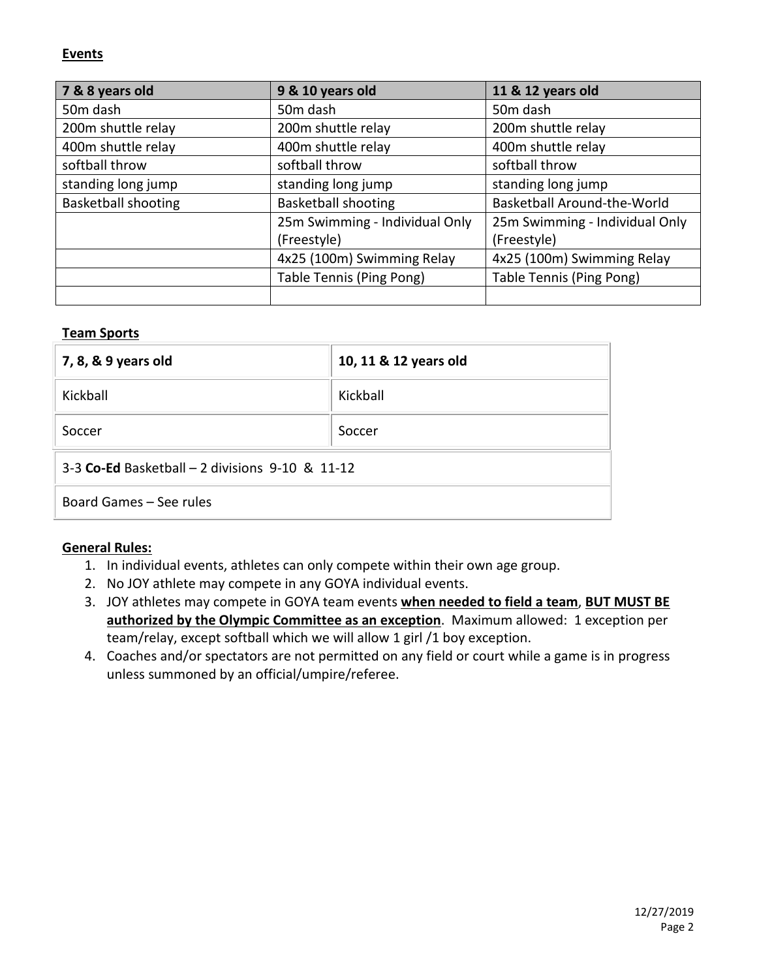### **Events**

| 7 & 8 years old            | 9 & 10 years old               | 11 & 12 years old              |
|----------------------------|--------------------------------|--------------------------------|
| 50 <sub>m</sub> dash       | 50 <sub>m</sub> dash           | 50 <sub>m</sub> dash           |
| 200m shuttle relay         | 200m shuttle relay             | 200m shuttle relay             |
| 400m shuttle relay         | 400m shuttle relay             | 400m shuttle relay             |
| softball throw             | softball throw                 | softball throw                 |
| standing long jump         | standing long jump             | standing long jump             |
| <b>Basketball shooting</b> | <b>Basketball shooting</b>     | Basketball Around-the-World    |
|                            | 25m Swimming - Individual Only | 25m Swimming - Individual Only |
|                            | (Freestyle)                    | (Freestyle)                    |
|                            | 4x25 (100m) Swimming Relay     | 4x25 (100m) Swimming Relay     |
|                            | Table Tennis (Ping Pong)       | Table Tennis (Ping Pong)       |
|                            |                                |                                |

### **Team Sports**

| 7, 8, & 9 years old                              | 10, 11 & 12 years old |  |  |  |
|--------------------------------------------------|-----------------------|--|--|--|
| Kickball                                         | Kickball              |  |  |  |
| Soccer                                           | Soccer                |  |  |  |
| 3-3 Co-Ed Basketball $-2$ divisions 9-10 & 11-12 |                       |  |  |  |
| Board Games - See rules                          |                       |  |  |  |

#### **General Rules:**

- 1. In individual events, athletes can only compete within their own age group.
- 2. No JOY athlete may compete in any GOYA individual events.
- 3. JOY athletes may compete in GOYA team events **when needed to field a team**, **BUT MUST BE authorized by the Olympic Committee as an exception**. Maximum allowed: 1 exception per team/relay, except softball which we will allow 1 girl /1 boy exception.
- 4. Coaches and/or spectators are not permitted on any field or court while a game is in progress unless summoned by an official/umpire/referee.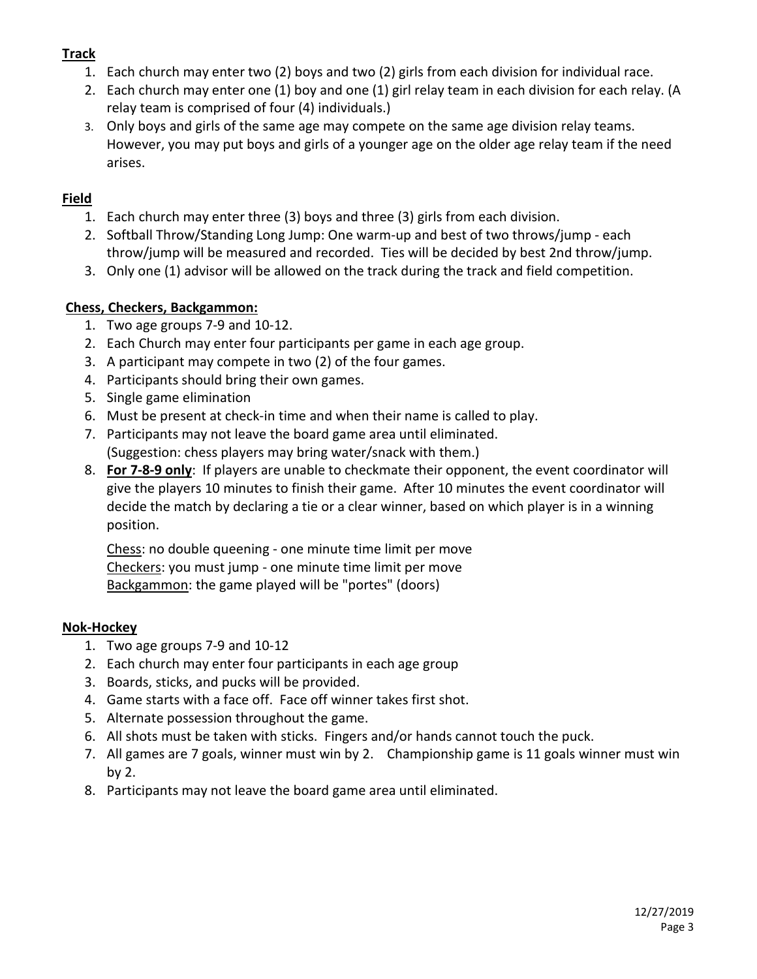# **Track**

- 1. Each church may enter two (2) boys and two (2) girls from each division for individual race.
- 2. Each church may enter one (1) boy and one (1) girl relay team in each division for each relay. (A relay team is comprised of four (4) individuals.)
- 3. Only boys and girls of the same age may compete on the same age division relay teams. However, you may put boys and girls of a younger age on the older age relay team if the need arises.

## **Field**

- 1. Each church may enter three (3) boys and three (3) girls from each division.
- 2. Softball Throw/Standing Long Jump: One warm-up and best of two throws/jump each throw/jump will be measured and recorded. Ties will be decided by best 2nd throw/jump.
- 3. Only one (1) advisor will be allowed on the track during the track and field competition.

## **Chess, Checkers, Backgammon:**

- 1. Two age groups 7-9 and 10-12.
- 2. Each Church may enter four participants per game in each age group.
- 3. A participant may compete in two (2) of the four games.
- 4. Participants should bring their own games.
- 5. Single game elimination
- 6. Must be present at check-in time and when their name is called to play.
- 7. Participants may not leave the board game area until eliminated. (Suggestion: chess players may bring water/snack with them.)
- 8. **For 7-8-9 only**: If players are unable to checkmate their opponent, the event coordinator will give the players 10 minutes to finish their game. After 10 minutes the event coordinator will decide the match by declaring a tie or a clear winner, based on which player is in a winning position.

Chess: no double queening - one minute time limit per move Checkers: you must jump - one minute time limit per move Backgammon: the game played will be "portes" (doors)

### **Nok-Hockey**

- 1. Two age groups 7-9 and 10-12
- 2. Each church may enter four participants in each age group
- 3. Boards, sticks, and pucks will be provided.
- 4. Game starts with a face off. Face off winner takes first shot.
- 5. Alternate possession throughout the game.
- 6. All shots must be taken with sticks. Fingers and/or hands cannot touch the puck.
- 7. All games are 7 goals, winner must win by 2. Championship game is 11 goals winner must win by 2.
- 8. Participants may not leave the board game area until eliminated.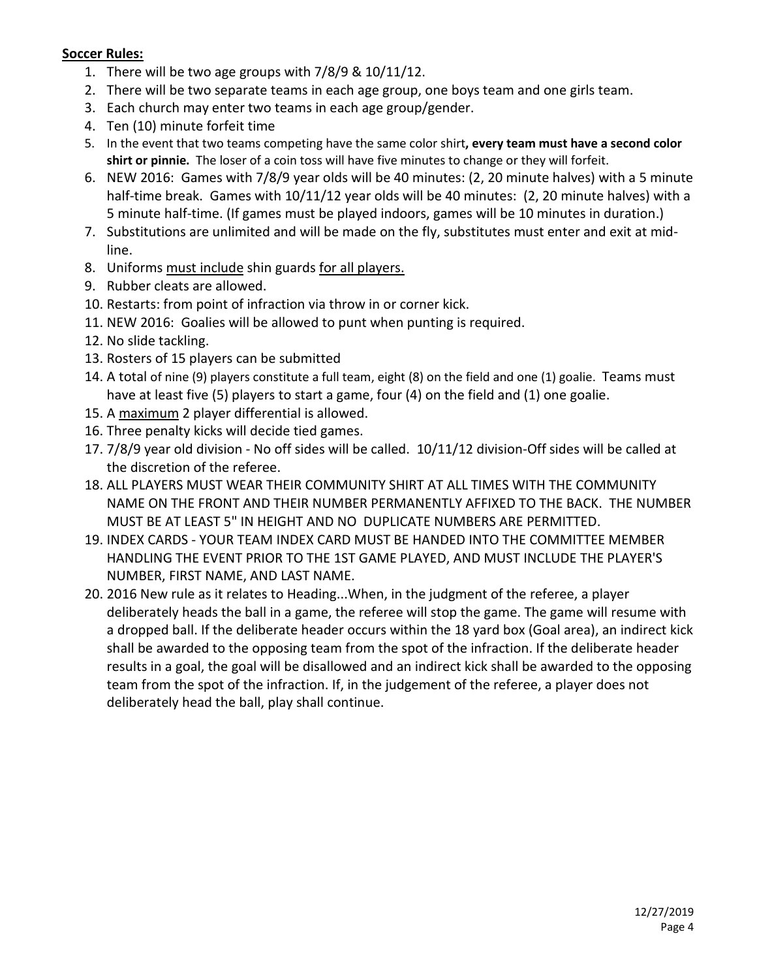### **Soccer Rules:**

- 1. There will be two age groups with 7/8/9 & 10/11/12.
- 2. There will be two separate teams in each age group, one boys team and one girls team.
- 3. Each church may enter two teams in each age group/gender.
- 4. Ten (10) minute forfeit time
- 5. In the event that two teams competing have the same color shirt**, every team must have a second color shirt or pinnie.** The loser of a coin toss will have five minutes to change or they will forfeit.
- 6. NEW 2016: Games with 7/8/9 year olds will be 40 minutes: (2, 20 minute halves) with a 5 minute half-time break. Games with 10/11/12 year olds will be 40 minutes: (2, 20 minute halves) with a 5 minute half-time. (If games must be played indoors, games will be 10 minutes in duration.)
- 7. Substitutions are unlimited and will be made on the fly, substitutes must enter and exit at midline.
- 8. Uniforms must include shin guards for all players.
- 9. Rubber cleats are allowed.
- 10. Restarts: from point of infraction via throw in or corner kick.
- 11. NEW 2016: Goalies will be allowed to punt when punting is required.
- 12. No slide tackling.
- 13. Rosters of 15 players can be submitted
- 14. A total of nine (9) players constitute a full team, eight (8) on the field and one (1) goalie. Teams must have at least five (5) players to start a game, four (4) on the field and (1) one goalie.
- 15. A maximum 2 player differential is allowed.
- 16. Three penalty kicks will decide tied games.
- 17. 7/8/9 year old division No off sides will be called. 10/11/12 division-Off sides will be called at the discretion of the referee.
- 18. ALL PLAYERS MUST WEAR THEIR COMMUNITY SHIRT AT ALL TIMES WITH THE COMMUNITY NAME ON THE FRONT AND THEIR NUMBER PERMANENTLY AFFIXED TO THE BACK. THE NUMBER MUST BE AT LEAST 5" IN HEIGHT AND NO DUPLICATE NUMBERS ARE PERMITTED.
- 19. INDEX CARDS YOUR TEAM INDEX CARD MUST BE HANDED INTO THE COMMITTEE MEMBER HANDLING THE EVENT PRIOR TO THE 1ST GAME PLAYED, AND MUST INCLUDE THE PLAYER'S NUMBER, FIRST NAME, AND LAST NAME.
- 20. 2016 New rule as it relates to Heading...When, in the judgment of the referee, a player deliberately heads the ball in a game, the referee will stop the game. The game will resume with a dropped ball. If the deliberate header occurs within the 18 yard box (Goal area), an indirect kick shall be awarded to the opposing team from the spot of the infraction. If the deliberate header results in a goal, the goal will be disallowed and an indirect kick shall be awarded to the opposing team from the spot of the infraction. If, in the judgement of the referee, a player does not deliberately head the ball, play shall continue.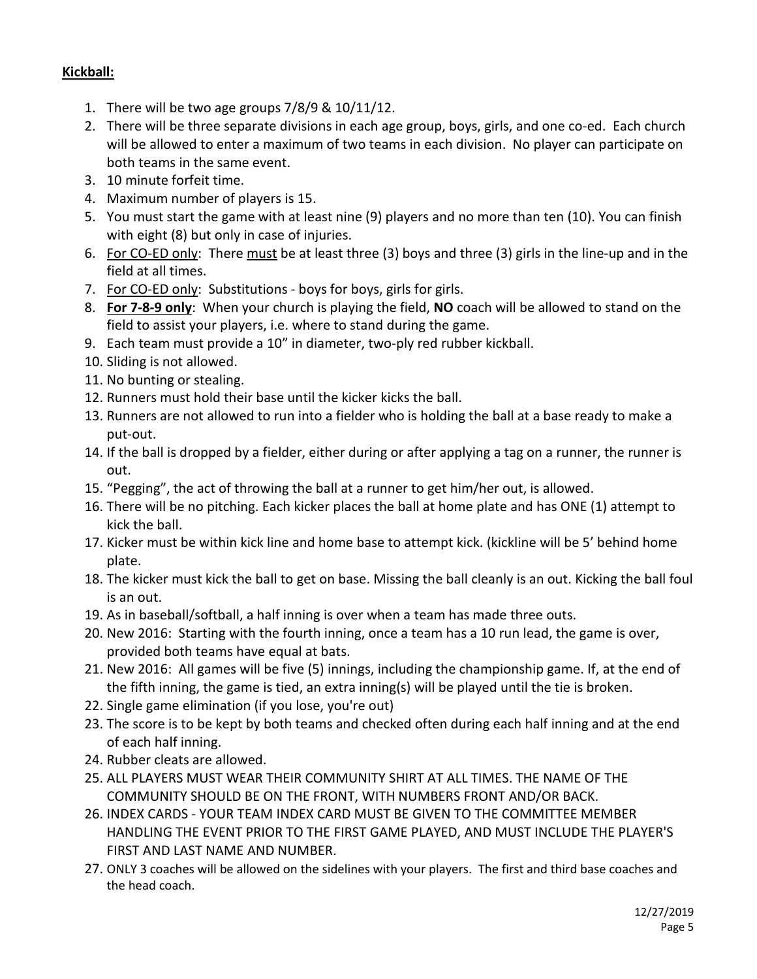### **Kickball:**

- 1. There will be two age groups 7/8/9 & 10/11/12.
- 2. There will be three separate divisions in each age group, boys, girls, and one co-ed. Each church will be allowed to enter a maximum of two teams in each division. No player can participate on both teams in the same event.
- 3. 10 minute forfeit time.
- 4. Maximum number of players is 15.
- 5. You must start the game with at least nine (9) players and no more than ten (10). You can finish with eight (8) but only in case of injuries.
- 6. For CO-ED only: There must be at least three (3) boys and three (3) girls in the line-up and in the field at all times.
- 7. For CO-ED only: Substitutions boys for boys, girls for girls.
- 8. **For 7-8-9 only**: When your church is playing the field, **NO** coach will be allowed to stand on the field to assist your players, i.e. where to stand during the game.
- 9. Each team must provide a 10" in diameter, two-ply red rubber kickball.
- 10. Sliding is not allowed.
- 11. No bunting or stealing.
- 12. Runners must hold their base until the kicker kicks the ball.
- 13. Runners are not allowed to run into a fielder who is holding the ball at a base ready to make a put-out.
- 14. If the ball is dropped by a fielder, either during or after applying a tag on a runner, the runner is out.
- 15. "Pegging", the act of throwing the ball at a runner to get him/her out, is allowed.
- 16. There will be no pitching. Each kicker places the ball at home plate and has ONE (1) attempt to kick the ball.
- 17. Kicker must be within kick line and home base to attempt kick. (kickline will be 5' behind home plate.
- 18. The kicker must kick the ball to get on base. Missing the ball cleanly is an out. Kicking the ball foul is an out.
- 19. As in baseball/softball, a half inning is over when a team has made three outs.
- 20. New 2016: Starting with the fourth inning, once a team has a 10 run lead, the game is over, provided both teams have equal at bats.
- 21. New 2016: All games will be five (5) innings, including the championship game. If, at the end of the fifth inning, the game is tied, an extra inning(s) will be played until the tie is broken.
- 22. Single game elimination (if you lose, you're out)
- 23. The score is to be kept by both teams and checked often during each half inning and at the end of each half inning.
- 24. Rubber cleats are allowed.
- 25. ALL PLAYERS MUST WEAR THEIR COMMUNITY SHIRT AT ALL TIMES. THE NAME OF THE COMMUNITY SHOULD BE ON THE FRONT, WITH NUMBERS FRONT AND/OR BACK.
- 26. INDEX CARDS YOUR TEAM INDEX CARD MUST BE GIVEN TO THE COMMITTEE MEMBER HANDLING THE EVENT PRIOR TO THE FIRST GAME PLAYED, AND MUST INCLUDE THE PLAYER'S FIRST AND LAST NAME AND NUMBER.
- 27. ONLY 3 coaches will be allowed on the sidelines with your players. The first and third base coaches and the head coach.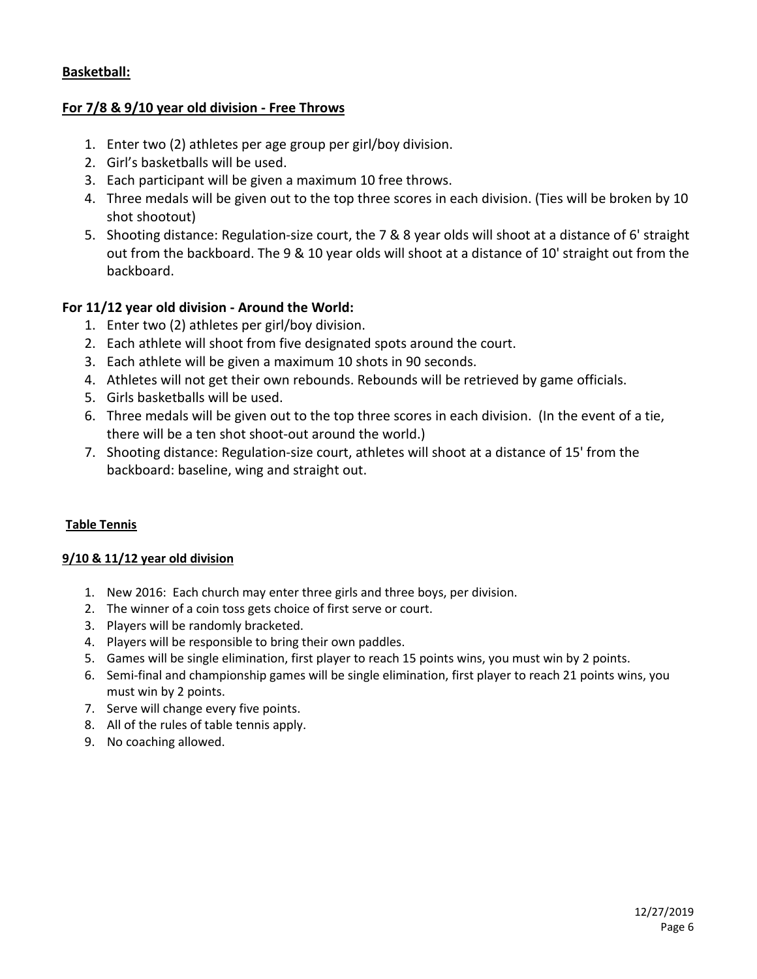### **Basketball:**

### **For 7/8 & 9/10 year old division - Free Throws**

- 1. Enter two (2) athletes per age group per girl/boy division.
- 2. Girl's basketballs will be used.
- 3. Each participant will be given a maximum 10 free throws.
- 4. Three medals will be given out to the top three scores in each division. (Ties will be broken by 10 shot shootout)
- 5. Shooting distance: Regulation-size court, the 7 & 8 year olds will shoot at a distance of 6' straight out from the backboard. The 9 & 10 year olds will shoot at a distance of 10' straight out from the backboard.

### **For 11/12 year old division - Around the World:**

- 1. Enter two (2) athletes per girl/boy division.
- 2. Each athlete will shoot from five designated spots around the court.
- 3. Each athlete will be given a maximum 10 shots in 90 seconds.
- 4. Athletes will not get their own rebounds. Rebounds will be retrieved by game officials.
- 5. Girls basketballs will be used.
- 6. Three medals will be given out to the top three scores in each division. (In the event of a tie, there will be a ten shot shoot-out around the world.)
- 7. Shooting distance: Regulation-size court, athletes will shoot at a distance of 15' from the backboard: baseline, wing and straight out.

#### **Table Tennis**

#### **9/10 & 11/12 year old division**

- 1. New 2016: Each church may enter three girls and three boys, per division.
- 2. The winner of a coin toss gets choice of first serve or court.
- 3. Players will be randomly bracketed.
- 4. Players will be responsible to bring their own paddles.
- 5. Games will be single elimination, first player to reach 15 points wins, you must win by 2 points.
- 6. Semi-final and championship games will be single elimination, first player to reach 21 points wins, you must win by 2 points.
- 7. Serve will change every five points.
- 8. All of the rules of table tennis apply.
- 9. No coaching allowed.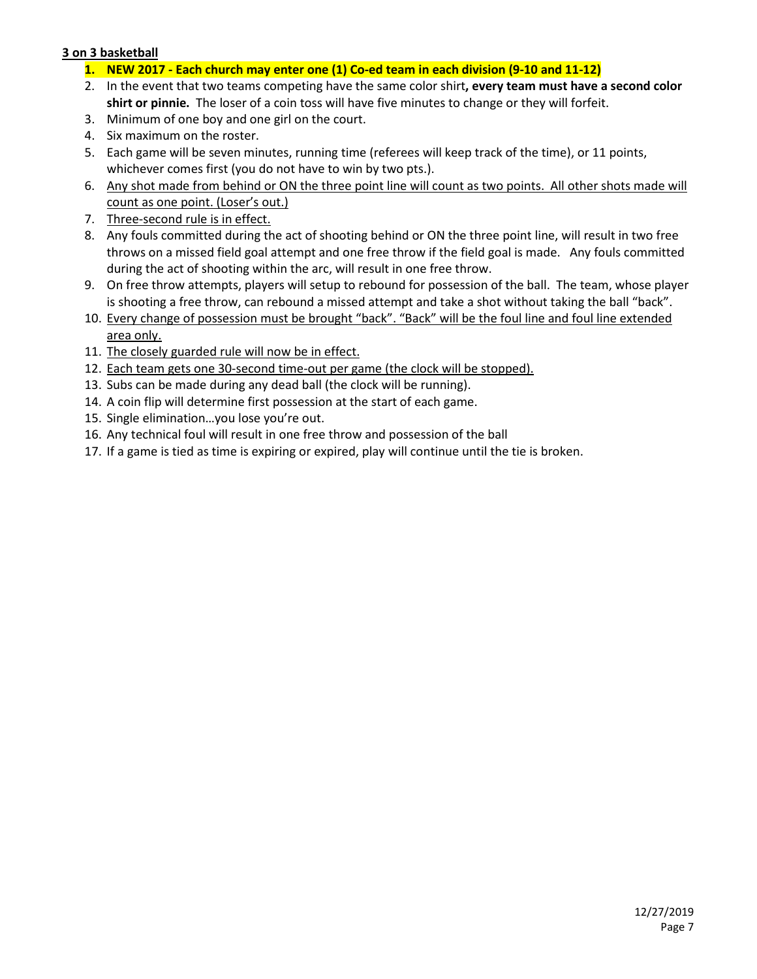#### **3 on 3 basketball**

- **1. NEW 2017 - Each church may enter one (1) Co-ed team in each division (9-10 and 11-12)**
- 2. In the event that two teams competing have the same color shirt**, every team must have a second color shirt or pinnie.** The loser of a coin toss will have five minutes to change or they will forfeit.
- 3. Minimum of one boy and one girl on the court.
- 4. Six maximum on the roster.
- 5. Each game will be seven minutes, running time (referees will keep track of the time), or 11 points, whichever comes first (you do not have to win by two pts.).
- 6. Any shot made from behind or ON the three point line will count as two points. All other shots made will count as one point. (Loser's out.)
- 7. Three-second rule is in effect.
- 8. Any fouls committed during the act of shooting behind or ON the three point line, will result in two free throws on a missed field goal attempt and one free throw if the field goal is made. Any fouls committed during the act of shooting within the arc, will result in one free throw.
- 9. On free throw attempts, players will setup to rebound for possession of the ball. The team, whose player is shooting a free throw, can rebound a missed attempt and take a shot without taking the ball "back".
- 10. Every change of possession must be brought "back". "Back" will be the foul line and foul line extended area only.
- 11. The closely guarded rule will now be in effect.
- 12. Each team gets one 30-second time-out per game (the clock will be stopped).
- 13. Subs can be made during any dead ball (the clock will be running).
- 14. A coin flip will determine first possession at the start of each game.
- 15. Single elimination…you lose you're out.
- 16. Any technical foul will result in one free throw and possession of the ball
- 17. If a game is tied as time is expiring or expired, play will continue until the tie is broken.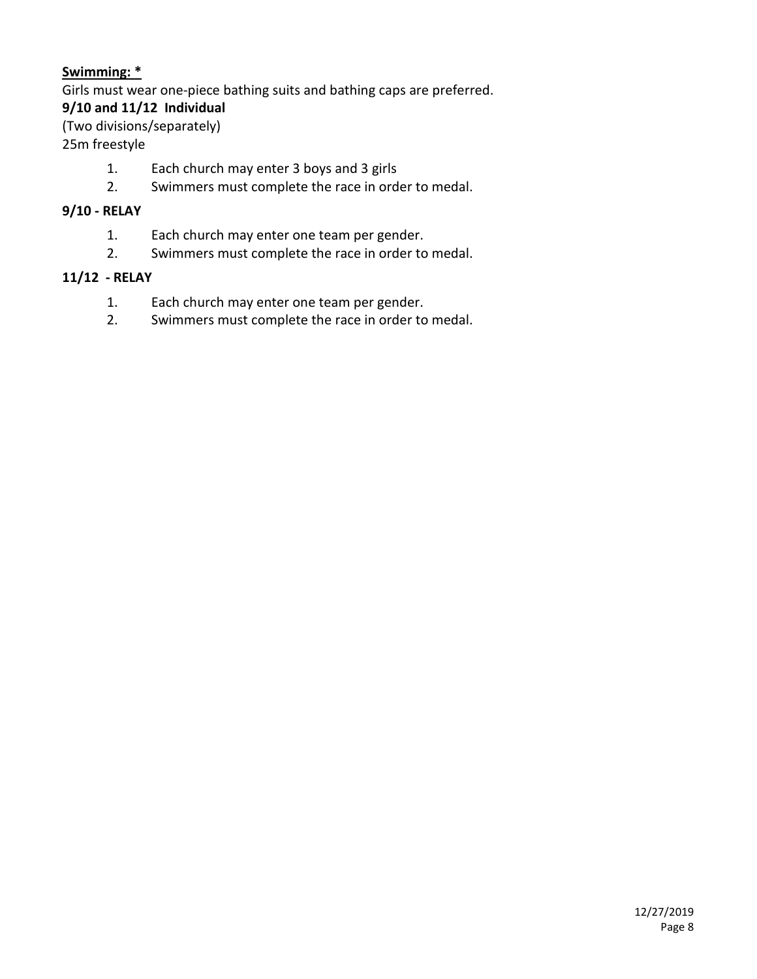### **Swimming: \***

Girls must wear one-piece bathing suits and bathing caps are preferred.

### **9/10 and 11/12 Individual**

(Two divisions/separately)

25m freestyle

- 1. Each church may enter 3 boys and 3 girls
- 2. Swimmers must complete the race in order to medal.

### **9/10 - RELAY**

- 1. Each church may enter one team per gender.
- 2. Swimmers must complete the race in order to medal.

### **11/12 - RELAY**

- 1. Each church may enter one team per gender.
- 2. Swimmers must complete the race in order to medal.